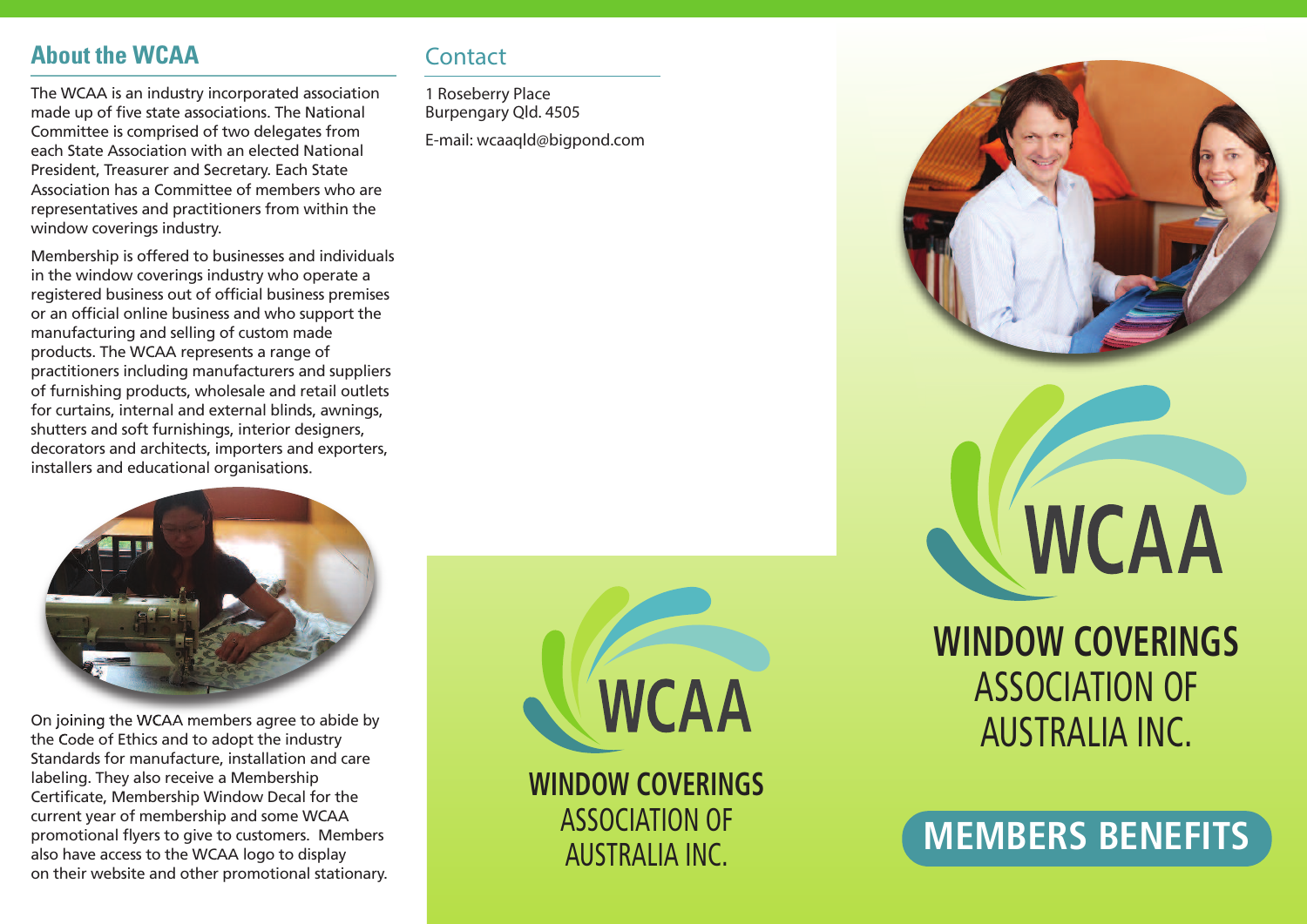#### **About the WCAA**

The WCAA is an industry incorporated association made up of five state associations. The National Committee is comprised of two delegates from each State Association with an elected National President, Treasurer and Secretary. Each State Association has a Committee of members who are representatives and practitioners from within the window coverings industry.

Membership is offered to businesses and individuals in the window coverings industry who operate a registered business out of official business premises or an official online business and who support the manufacturing and selling of custom made products. The WCAA represents a range of practitioners including manufacturers and suppliers of furnishing products, wholesale and retail outlets for curtains, internal and external blinds, awnings, shutters and soft furnishings, interior designers, decorators and architects, importers and exporters, installers and educational organisations.



On joining the WCAA members agree to abide by the Code of Ethics and to adopt the industry Standards for manufacture, installation and care labeling. They also receive a Membership Certificate, Membership Window Decal for the current year of membership and some WCAA promotional flyers to give to customers. Members also have access to the WCAA logo to display on their website and other promotional stationary.

### Contact

1 Roseberry Place Burpengary Qld. 4505 E-mail: wcaaqld@bigpond.com



**WINDOW COVERINGS** ASSOCIATION OF





**WINDOW COVERINGS** ASSOCIATION OF AUSTRALIA INC.

AUSTRALIA INC. **MEMBERS BENEFITS**